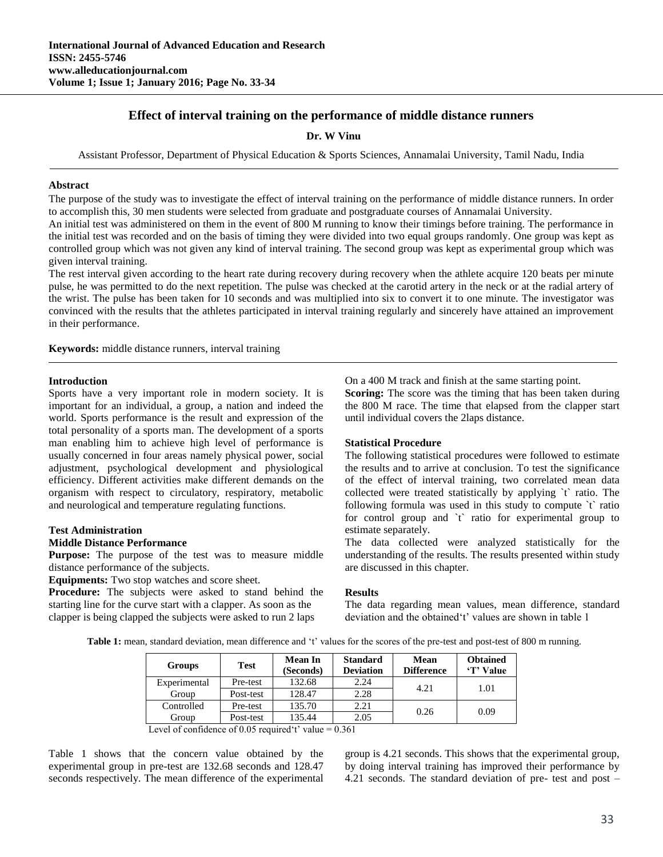# **Effect of interval training on the performance of middle distance runners**

**Dr. W Vinu**

Assistant Professor, Department of Physical Education & Sports Sciences, Annamalai University, Tamil Nadu, India

#### **Abstract**

The purpose of the study was to investigate the effect of interval training on the performance of middle distance runners. In order to accomplish this, 30 men students were selected from graduate and postgraduate courses of Annamalai University.

An initial test was administered on them in the event of 800 M running to know their timings before training. The performance in the initial test was recorded and on the basis of timing they were divided into two equal groups randomly. One group was kept as controlled group which was not given any kind of interval training. The second group was kept as experimental group which was given interval training.

The rest interval given according to the heart rate during recovery during recovery when the athlete acquire 120 beats per minute pulse, he was permitted to do the next repetition. The pulse was checked at the carotid artery in the neck or at the radial artery of the wrist. The pulse has been taken for 10 seconds and was multiplied into six to convert it to one minute. The investigator was convinced with the results that the athletes participated in interval training regularly and sincerely have attained an improvement in their performance.

**Keywords:** middle distance runners, interval training

#### **Introduction**

Sports have a very important role in modern society. It is important for an individual, a group, a nation and indeed the world. Sports performance is the result and expression of the total personality of a sports man. The development of a sports man enabling him to achieve high level of performance is usually concerned in four areas namely physical power, social adjustment, psychological development and physiological efficiency. Different activities make different demands on the organism with respect to circulatory, respiratory, metabolic and neurological and temperature regulating functions.

#### **Test Administration**

### **Middle Distance Performance**

**Purpose:** The purpose of the test was to measure middle distance performance of the subjects.

**Equipments:** Two stop watches and score sheet.

**Procedure:** The subjects were asked to stand behind the starting line for the curve start with a clapper. As soon as the clapper is being clapped the subjects were asked to run 2 laps

On a 400 M track and finish at the same starting point.

**Scoring:** The score was the timing that has been taken during the 800 M race. The time that elapsed from the clapper start until individual covers the 2laps distance.

#### **Statistical Procedure**

The following statistical procedures were followed to estimate the results and to arrive at conclusion. To test the significance of the effect of interval training, two correlated mean data collected were treated statistically by applying `t` ratio. The following formula was used in this study to compute `t` ratio for control group and `t` ratio for experimental group to estimate separately.

The data collected were analyzed statistically for the understanding of the results. The results presented within study are discussed in this chapter.

#### **Results**

The data regarding mean values, mean difference, standard deviation and the obtained't' values are shown in table 1

Table 1: mean, standard deviation, mean difference and 't' values for the scores of the pre-test and post-test of 800 m running.

| Test      | <b>Mean In</b><br>(Seconds) | <b>Standard</b><br><b>Deviation</b> | Mean<br><b>Difference</b> | <b>Obtained</b><br>'T' Value |
|-----------|-----------------------------|-------------------------------------|---------------------------|------------------------------|
| Pre-test  | 132.68                      | 2.24                                | 4.21                      | 1.01                         |
| Post-test | 128.47                      | 2.28                                |                           |                              |
| Pre-test  | 135.70                      | 2.21                                | 0.26                      | 0.09                         |
| Post-test | 135.44                      | 2.05                                |                           |                              |
|           |                             |                                     |                           |                              |

Level of confidence of 0.05 required 't' value  $= 0.361$ 

Table 1 shows that the concern value obtained by the experimental group in pre-test are 132.68 seconds and 128.47 seconds respectively. The mean difference of the experimental group is 4.21 seconds. This shows that the experimental group, by doing interval training has improved their performance by 4.21 seconds. The standard deviation of pre- test and post –